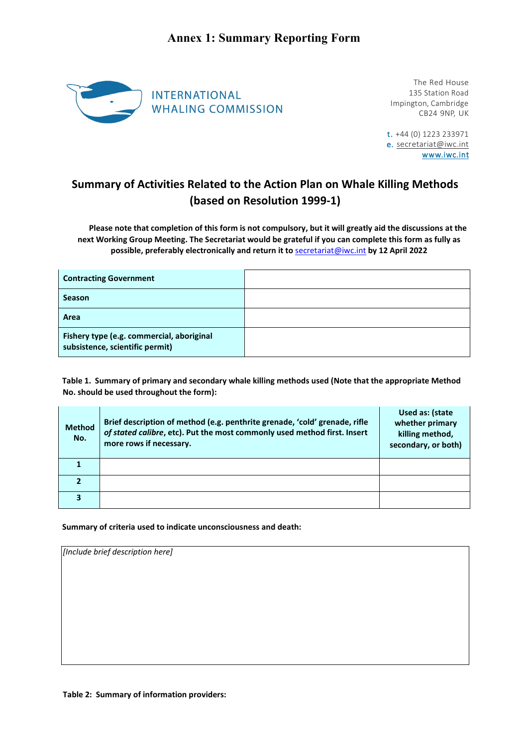

The Red House 135 Station Road Impington, Cambridge CB24 9NP, UK

t. +44 (0) 1223 233971 e. [secretariat@iwc.int](mailto:secretariat@iwc.int) www.iwc.int

## **Summary of Activities Related to the Action Plan on Whale Killing Methods (based on Resolution 1999-1)**

**Please note that completion of this form is not compulsory, but it will greatly aid the discussions at the next Working Group Meeting. The Secretariat would be grateful if you can complete this form as fully as possible, preferably electronically and return it to** secretariat@iwc.int **by 12 April 2022**

| <b>Contracting Government</b>                                                |  |
|------------------------------------------------------------------------------|--|
| <b>Season</b>                                                                |  |
| Area                                                                         |  |
| Fishery type (e.g. commercial, aboriginal<br>subsistence, scientific permit) |  |

**Table 1. Summary of primary and secondary whale killing methods used (Note that the appropriate Method No. should be used throughout the form):** 

| <b>Method</b><br>No. | Brief description of method (e.g. penthrite grenade, 'cold' grenade, rifle<br>of stated calibre, etc). Put the most commonly used method first. Insert<br>more rows if necessary. | Used as: (state<br>whether primary<br>killing method,<br>secondary, or both) |
|----------------------|-----------------------------------------------------------------------------------------------------------------------------------------------------------------------------------|------------------------------------------------------------------------------|
|                      |                                                                                                                                                                                   |                                                                              |
|                      |                                                                                                                                                                                   |                                                                              |
| 3                    |                                                                                                                                                                                   |                                                                              |

**Summary of criteria used to indicate unconsciousness and death:** 

*[Include brief description here]*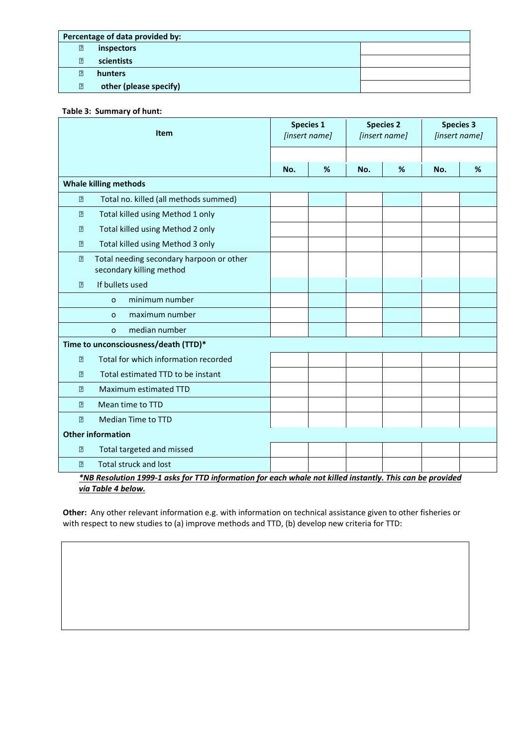| Percentage of data provided by: |                        |  |  |  |
|---------------------------------|------------------------|--|--|--|
| $\boxed{2}$                     | inspectors             |  |  |  |
| $\overline{2}$                  | scientists             |  |  |  |
| 卪                               | hunters                |  |  |  |
| $\sqrt{2}$                      | other (please specify) |  |  |  |

## **Table 3: Summary of hunt:**

| Item                                                                                                            |                                                                      | <b>Species 1</b><br>[insert name] |   | <b>Species 2</b><br>[insert name] |   | <b>Species 3</b><br>[insert name] |   |
|-----------------------------------------------------------------------------------------------------------------|----------------------------------------------------------------------|-----------------------------------|---|-----------------------------------|---|-----------------------------------|---|
|                                                                                                                 |                                                                      |                                   |   |                                   |   |                                   |   |
|                                                                                                                 |                                                                      | No.                               | % | No.                               | % | No.                               | % |
| <b>Whale killing methods</b>                                                                                    |                                                                      |                                   |   |                                   |   |                                   |   |
| $\sqrt{2}$                                                                                                      | Total no. killed (all methods summed)                                |                                   |   |                                   |   |                                   |   |
| $\boxed{2}$                                                                                                     | Total killed using Method 1 only                                     |                                   |   |                                   |   |                                   |   |
| $\overline{?}$                                                                                                  | Total killed using Method 2 only                                     |                                   |   |                                   |   |                                   |   |
| $\boxed{2}$                                                                                                     | Total killed using Method 3 only                                     |                                   |   |                                   |   |                                   |   |
| $\boxed{2}$                                                                                                     | Total needing secondary harpoon or other<br>secondary killing method |                                   |   |                                   |   |                                   |   |
| $\overline{2}$                                                                                                  | If bullets used                                                      |                                   |   |                                   |   |                                   |   |
|                                                                                                                 | minimum number<br>$\circ$                                            |                                   |   |                                   |   |                                   |   |
|                                                                                                                 | maximum number<br>$\circ$                                            |                                   |   |                                   |   |                                   |   |
|                                                                                                                 | median number<br>$\circ$                                             |                                   |   |                                   |   |                                   |   |
| Time to unconsciousness/death (TTD)*                                                                            |                                                                      |                                   |   |                                   |   |                                   |   |
| 卪                                                                                                               | Total for which information recorded                                 |                                   |   |                                   |   |                                   |   |
| 卪                                                                                                               | Total estimated TTD to be instant                                    |                                   |   |                                   |   |                                   |   |
| 卪                                                                                                               | Maximum estimated TTD                                                |                                   |   |                                   |   |                                   |   |
| $\boxed{?}$                                                                                                     | Mean time to TTD                                                     |                                   |   |                                   |   |                                   |   |
| $\boxed{?}$                                                                                                     | <b>Median Time to TTD</b>                                            |                                   |   |                                   |   |                                   |   |
| <b>Other information</b>                                                                                        |                                                                      |                                   |   |                                   |   |                                   |   |
| $\boxed{2}$                                                                                                     | Total targeted and missed                                            |                                   |   |                                   |   |                                   |   |
| 卪                                                                                                               | <b>Total struck and lost</b>                                         |                                   |   |                                   |   |                                   |   |
| <u>*NB Resolution 1999-1 asks for TTD information for each whale not killed instantly. This can be provided</u> |                                                                      |                                   |   |                                   |   |                                   |   |

*via Table 4 below.*

**Other:** Any other relevant information e.g. with information on technical assistance given to other fisheries or with respect to new studies to (a) improve methods and TTD, (b) develop new criteria for TTD: